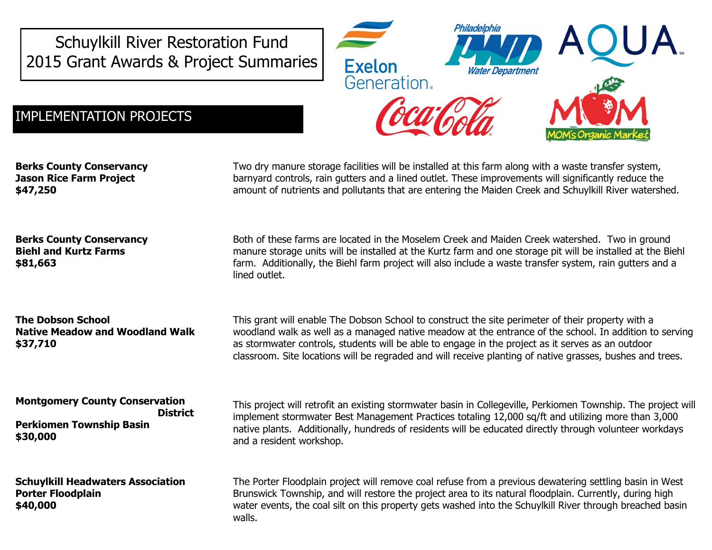Schuylkill River Restoration Fund 2015 Grant Awards & Project Summaries



## IMPLEMENTATION PROJECTS

**Berks County Conservancy Jason Rice Farm Project \$47,250**

Two dry manure storage facilities will be installed at this farm along with a waste transfer system, barnyard controls, rain gutters and a lined outlet. These improvements will significantly reduce the amount of nutrients and pollutants that are entering the Maiden Creek and Schuylkill River watershed.

**Berks County Conservancy Biehl and Kurtz Farms \$81,663**

**The Dobson School Native Meadow and Woodland Walk \$37,710**

**Montgomery County Conservation District Perkiomen Township Basin \$30,000**

**Schuylkill Headwaters Association Porter Floodplain \$40,000**

Both of these farms are located in the Moselem Creek and Maiden Creek watershed. Two in ground manure storage units will be installed at the Kurtz farm and one storage pit will be installed at the Biehl farm. Additionally, the Biehl farm project will also include a waste transfer system, rain gutters and a lined outlet.

This grant will enable The Dobson School to construct the site perimeter of their property with a woodland walk as well as a managed native meadow at the entrance of the school. In addition to serving as stormwater controls, students will be able to engage in the project as it serves as an outdoor classroom. Site locations will be regraded and will receive planting of native grasses, bushes and trees.

This project will retrofit an existing stormwater basin in Collegeville, Perkiomen Township. The project will implement stormwater Best Management Practices totaling 12,000 sq/ft and utilizing more than 3,000 native plants. Additionally, hundreds of residents will be educated directly through volunteer workdays and a resident workshop.

The Porter Floodplain project will remove coal refuse from a previous dewatering settling basin in West Brunswick Township, and will restore the project area to its natural floodplain. Currently, during high water events, the coal silt on this property gets washed into the Schuylkill River through breached basin walls.